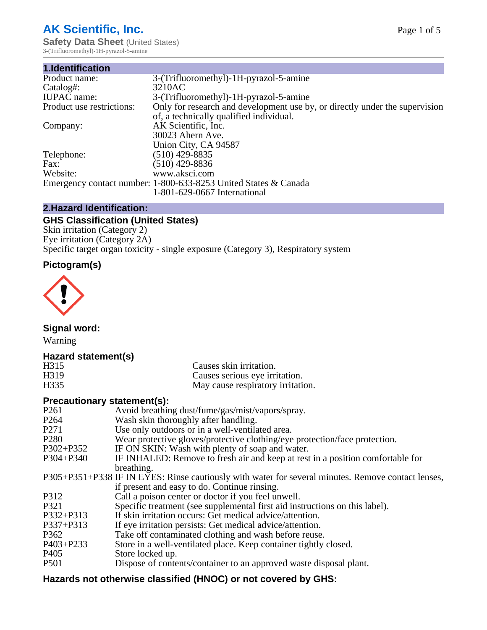# **AK Scientific, Inc.**

**Safety Data Sheet (United States)** 3-(Trifluoromethyl)-1H-pyrazol-5-amine

| 1.Identification          |                                                                             |
|---------------------------|-----------------------------------------------------------------------------|
| Product name:             | 3-(Trifluoromethyl)-1H-pyrazol-5-amine                                      |
| Catalog#:                 | 3210AC                                                                      |
| <b>IUPAC</b> name:        | 3-(Trifluoromethyl)-1H-pyrazol-5-amine                                      |
| Product use restrictions: | Only for research and development use by, or directly under the supervision |
|                           | of, a technically qualified individual.                                     |
| Company:                  | AK Scientific, Inc.                                                         |
|                           | 30023 Ahern Ave.                                                            |
|                           | Union City, CA 94587                                                        |
| Telephone:                | $(510)$ 429-8835                                                            |
| Fax:                      | $(510)$ 429-8836                                                            |
| Website:                  | www.aksci.com                                                               |
|                           | Emergency contact number: 1-800-633-8253 United States & Canada             |
|                           | 1-801-629-0667 International                                                |

## **2.Hazard Identification:**

# **GHS Classification (United States)**

Skin irritation (Category 2) Eye irritation (Category 2A) Specific target organ toxicity - single exposure (Category 3), Respiratory system

# **Pictogram(s)**



**Signal word:**

Warning

## **Hazard statement(s)**

| H315              | Causes skin irritation.           |
|-------------------|-----------------------------------|
| H <sub>3</sub> 19 | Causes serious eye irritation.    |
| H335              | May cause respiratory irritation. |

#### **Precautionary statement(s):**

| P <sub>261</sub> | Avoid breathing dust/fume/gas/mist/vapors/spray.                                                   |
|------------------|----------------------------------------------------------------------------------------------------|
| P <sub>264</sub> | Wash skin thoroughly after handling.                                                               |
| P <sub>271</sub> | Use only outdoors or in a well-ventilated area.                                                    |
| P <sub>280</sub> | Wear protective gloves/protective clothing/eye protection/face protection.                         |
| P302+P352        | IF ON SKIN: Wash with plenty of soap and water.                                                    |
| $P304 + P340$    | IF INHALED: Remove to fresh air and keep at rest in a position comfortable for                     |
|                  | breathing.                                                                                         |
|                  | P305+P351+P338 IF IN EYES: Rinse cautiously with water for several minutes. Remove contact lenses, |
|                  | if present and easy to do. Continue rinsing.                                                       |
| P312             | Call a poison center or doctor if you feel unwell.                                                 |
| P321             | Specific treatment (see supplemental first aid instructions on this label).                        |
| P332+P313        | If skin irritation occurs: Get medical advice/attention.                                           |
| P337+P313        | If eye irritation persists: Get medical advice/attention.                                          |
| P362             | Take off contaminated clothing and wash before reuse.                                              |
| P403+P233        | Store in a well-ventilated place. Keep container tightly closed.                                   |
| P <sub>405</sub> | Store locked up.                                                                                   |
| P <sub>501</sub> | Dispose of contents/container to an approved waste disposal plant.                                 |
|                  |                                                                                                    |

# **Hazards not otherwise classified (HNOC) or not covered by GHS:**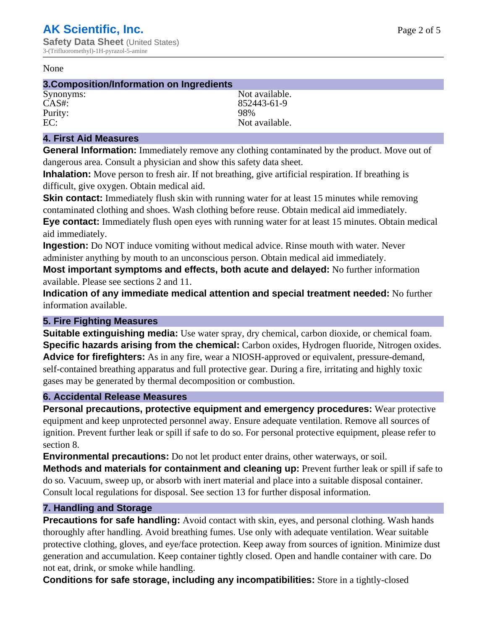#### None

#### **3.Composition/Information on Ingredients**

Purity:<br>EC:

Synonyms: Not available. CAS#: 852443-61-9<br>Purity: 98% 98% Not available.

### **4. First Aid Measures**

**General Information:** Immediately remove any clothing contaminated by the product. Move out of dangerous area. Consult a physician and show this safety data sheet.

**Inhalation:** Move person to fresh air. If not breathing, give artificial respiration. If breathing is difficult, give oxygen. Obtain medical aid.

**Skin contact:** Immediately flush skin with running water for at least 15 minutes while removing contaminated clothing and shoes. Wash clothing before reuse. Obtain medical aid immediately. **Eye contact:** Immediately flush open eyes with running water for at least 15 minutes. Obtain medical aid immediately.

**Ingestion:** Do NOT induce vomiting without medical advice. Rinse mouth with water. Never administer anything by mouth to an unconscious person. Obtain medical aid immediately.

**Most important symptoms and effects, both acute and delayed:** No further information available. Please see sections 2 and 11.

**Indication of any immediate medical attention and special treatment needed:** No further information available.

#### **5. Fire Fighting Measures**

**Suitable extinguishing media:** Use water spray, dry chemical, carbon dioxide, or chemical foam. **Specific hazards arising from the chemical:** Carbon oxides, Hydrogen fluoride, Nitrogen oxides. **Advice for firefighters:** As in any fire, wear a NIOSH-approved or equivalent, pressure-demand, self-contained breathing apparatus and full protective gear. During a fire, irritating and highly toxic gases may be generated by thermal decomposition or combustion.

#### **6. Accidental Release Measures**

**Personal precautions, protective equipment and emergency procedures:** Wear protective equipment and keep unprotected personnel away. Ensure adequate ventilation. Remove all sources of ignition. Prevent further leak or spill if safe to do so. For personal protective equipment, please refer to section 8.

**Environmental precautions:** Do not let product enter drains, other waterways, or soil.

**Methods and materials for containment and cleaning up:** Prevent further leak or spill if safe to do so. Vacuum, sweep up, or absorb with inert material and place into a suitable disposal container. Consult local regulations for disposal. See section 13 for further disposal information.

#### **7. Handling and Storage**

**Precautions for safe handling:** Avoid contact with skin, eyes, and personal clothing. Wash hands thoroughly after handling. Avoid breathing fumes. Use only with adequate ventilation. Wear suitable protective clothing, gloves, and eye/face protection. Keep away from sources of ignition. Minimize dust generation and accumulation. Keep container tightly closed. Open and handle container with care. Do not eat, drink, or smoke while handling.

**Conditions for safe storage, including any incompatibilities:** Store in a tightly-closed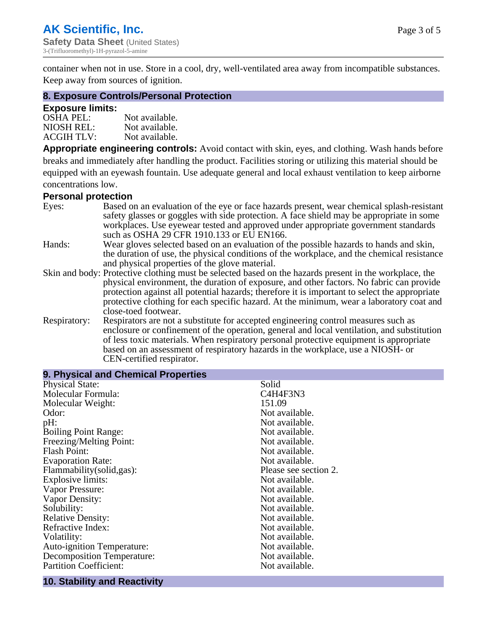container when not in use. Store in a cool, dry, well-ventilated area away from incompatible substances. Keep away from sources of ignition.

#### **8. Exposure Controls/Personal Protection**

#### **Exposure limits:**

| <b>OSHA PEL:</b>  | Not available. |
|-------------------|----------------|
| NIOSH REL:        | Not available. |
| <b>ACGIH TLV:</b> | Not available. |

**Appropriate engineering controls:** Avoid contact with skin, eyes, and clothing. Wash hands before breaks and immediately after handling the product. Facilities storing or utilizing this material should be equipped with an eyewash fountain. Use adequate general and local exhaust ventilation to keep airborne concentrations low.

#### **Personal protection**

| Eyes:        | Based on an evaluation of the eye or face hazards present, wear chemical splash-resistant<br>safety glasses or goggles with side protection. A face shield may be appropriate in some |
|--------------|---------------------------------------------------------------------------------------------------------------------------------------------------------------------------------------|
|              | workplaces. Use eyewear tested and approved under appropriate government standards<br>such as OSHA 29 CFR 1910.133 or EU EN166.                                                       |
| Hands:       | Wear gloves selected based on an evaluation of the possible hazards to hands and skin,                                                                                                |
|              | the duration of use, the physical conditions of the workplace, and the chemical resistance                                                                                            |
|              | and physical properties of the glove material.                                                                                                                                        |
|              | Skin and body: Protective clothing must be selected based on the hazards present in the workplace, the                                                                                |
|              | physical environment, the duration of exposure, and other factors. No fabric can provide                                                                                              |
|              | protection against all potential hazards; therefore it is important to select the appropriate                                                                                         |
|              | protective clothing for each specific hazard. At the minimum, wear a laboratory coat and                                                                                              |
|              | close-toed footwear.                                                                                                                                                                  |
| Respiratory: | Respirators are not a substitute for accepted engineering control measures such as<br>enclosure or confinement of the operation, general and local ventilation, and substitution      |
|              | of less toxic materials. When respiratory personal protective equipment is appropriate                                                                                                |
|              | based on an assessment of respiratory hazards in the workplace, use a NIOSH- or                                                                                                       |
|              | CEN-certified respirator.                                                                                                                                                             |
|              |                                                                                                                                                                                       |

| 9. Physical and Chemical Properties |                       |
|-------------------------------------|-----------------------|
| <b>Physical State:</b>              | Solid                 |
| Molecular Formula:                  | C4H4F3N3              |
| Molecular Weight:                   | 151.09                |
| Odor:                               | Not available.        |
| pH:                                 | Not available.        |
| <b>Boiling Point Range:</b>         | Not available.        |
| Freezing/Melting Point:             | Not available.        |
| <b>Flash Point:</b>                 | Not available.        |
| <b>Evaporation Rate:</b>            | Not available.        |
| Flammability(solid,gas):            | Please see section 2. |
| <b>Explosive limits:</b>            | Not available.        |
| Vapor Pressure:                     | Not available.        |
| Vapor Density:                      | Not available.        |
| Solubility:                         | Not available.        |
| <b>Relative Density:</b>            | Not available.        |
| Refractive Index:                   | Not available.        |
| Volatility:                         | Not available.        |
| <b>Auto-ignition Temperature:</b>   | Not available.        |
| <b>Decomposition Temperature:</b>   | Not available.        |
| <b>Partition Coefficient:</b>       | Not available.        |
|                                     |                       |

## **10. Stability and Reactivity**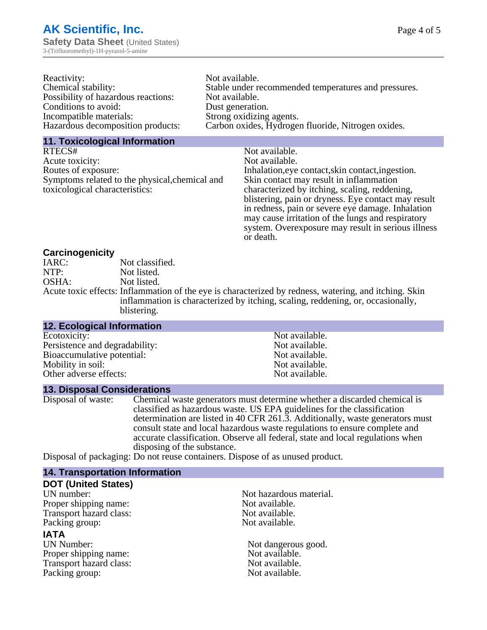| Reactivity:                         | Not available.                                       |
|-------------------------------------|------------------------------------------------------|
| Chemical stability:                 | Stable under recommended temperatures and pressures. |
| Possibility of hazardous reactions: | Not available.                                       |
| Conditions to avoid:                | Dust generation.                                     |
| Incompatible materials:             | Strong oxidizing agents.                             |
| Hazardous decomposition products:   | Carbon oxides, Hydrogen fluoride, Nitrogen oxides.   |

#### **11. Toxicological Information**

| RTECS#                                         | Not available.                                      |
|------------------------------------------------|-----------------------------------------------------|
| Acute toxicity:                                | Not available.                                      |
| Routes of exposure:                            | Inhalation, eye contact, skin contact, ingestion.   |
| Symptoms related to the physical, chemical and | Skin contact may result in inflammation             |
| toxicological characteristics:                 | characterized by itching, scaling, reddening,       |
|                                                | blistering, pain or dryness. Eye contact may result |
|                                                | in redness, pain or severe eye damage. Inhalation   |
|                                                | may cause irritation of the lungs and respiratory   |
|                                                | system. Overexposure may result in serious illness  |

or death.

#### **Carcinogenicity**

| IARC: | Not classified.                                                                                       |
|-------|-------------------------------------------------------------------------------------------------------|
| NTP:  | Not listed.                                                                                           |
| OSHA: | Not listed.                                                                                           |
|       | Acute toxic effects: Inflammation of the eye is characterized by redness, watering, and itching. Skin |
|       | inflammation is characterized by itching, scaling, reddening, or, occasionally,                       |
|       | blistering.                                                                                           |

| <b>12. Ecological Information</b> |                |  |
|-----------------------------------|----------------|--|
| Ecotoxicity:                      | Not available. |  |
| Persistence and degradability:    | Not available. |  |
| Bioaccumulative potential:        | Not available. |  |
| Mobility in soil:                 | Not available. |  |
| Other adverse effects:            | Not available. |  |
|                                   |                |  |

#### **13. Disposal Considerations**

Disposal of waste: Chemical waste generators must determine whether a discarded chemical is classified as hazardous waste. US EPA guidelines for the classification determination are listed in 40 CFR 261.3. Additionally, waste generators must consult state and local hazardous waste regulations to ensure complete and accurate classification. Observe all federal, state and local regulations when disposing of the substance.

Disposal of packaging: Do not reuse containers. Dispose of as unused product.

| <b>14. Transportation Information</b> |                         |  |
|---------------------------------------|-------------------------|--|
| <b>DOT (United States)</b>            |                         |  |
| UN number:                            | Not hazardous material. |  |
| Proper shipping name:                 | Not available.          |  |
| Transport hazard class:               | Not available.          |  |
| Packing group:                        | Not available.          |  |
| <b>IATA</b>                           |                         |  |
| <b>UN Number:</b>                     | Not dangerous good.     |  |
| Proper shipping name:                 | Not available.          |  |
| Transport hazard class:               | Not available.          |  |
| Packing group:                        | Not available.          |  |
|                                       |                         |  |